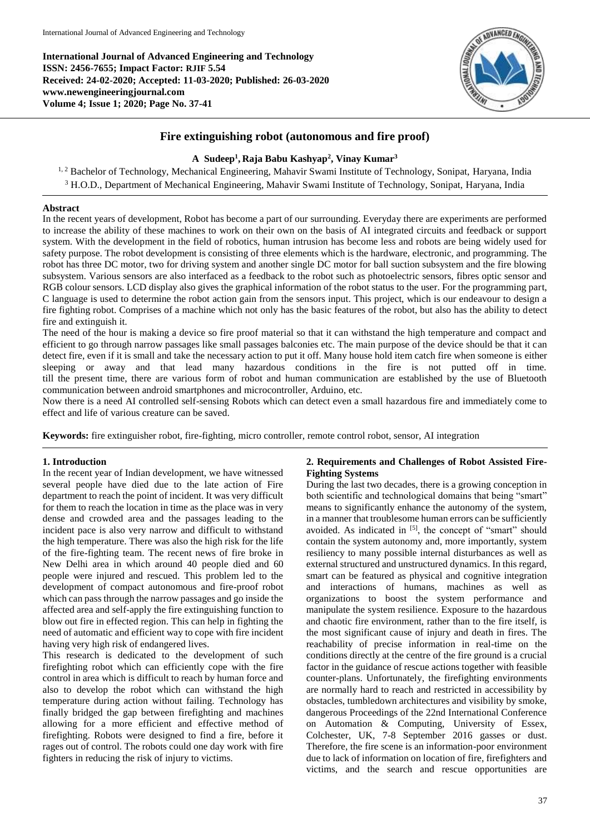**International Journal of Advanced Engineering and Technology ISSN: 2456-7655; Impact Factor: RJIF 5.54 Received: 24-02-2020; Accepted: 11-03-2020; Published: 26-03-2020 www.newengineeringjournal.com Volume 4; Issue 1; 2020; Page No. 37-41**



# **Fire extinguishing robot (autonomous and fire proof)**

# **A Sudeep<sup>1</sup> , Raja Babu Kashyap<sup>2</sup> , Vinay Kumar<sup>3</sup>**

<sup>1, 2</sup> Bachelor of Technology, Mechanical Engineering, Mahavir Swami Institute of Technology, Sonipat, Haryana, India <sup>3</sup> H.O.D., Department of Mechanical Engineering, Mahavir Swami Institute of Technology, Sonipat, Haryana, India

## **Abstract**

In the recent years of development, Robot has become a part of our surrounding. Everyday there are experiments are performed to increase the ability of these machines to work on their own on the basis of AI integrated circuits and feedback or support system. With the development in the field of robotics, human intrusion has become less and robots are being widely used for safety purpose. The robot development is consisting of three elements which is the hardware, electronic, and programming. The robot has three DC motor, two for driving system and another single DC motor for ball suction subsystem and the fire blowing subsystem. Various sensors are also interfaced as a feedback to the robot such as photoelectric sensors, fibres optic sensor and RGB colour sensors. LCD display also gives the graphical information of the robot status to the user. For the programming part, C language is used to determine the robot action gain from the sensors input. This project, which is our endeavour to design a fire fighting robot. Comprises of a machine which not only has the basic features of the robot, but also has the ability to detect fire and extinguish it.

The need of the hour is making a device so fire proof material so that it can withstand the high temperature and compact and efficient to go through narrow passages like small passages balconies etc. The main purpose of the device should be that it can detect fire, even if it is small and take the necessary action to put it off. Many house hold item catch fire when someone is either sleeping or away and that lead many hazardous conditions in the fire is not putted off in time. till the present time, there are various form of robot and human communication are established by the use of Bluetooth communication between android smartphones and microcontroller, Arduino, etc.

Now there is a need AI controlled self-sensing Robots which can detect even a small hazardous fire and immediately come to effect and life of various creature can be saved.

**Keywords:** fire extinguisher robot, fire-fighting, micro controller, remote control robot, sensor, AI integration

## **1. Introduction**

In the recent year of Indian development, we have witnessed several people have died due to the late action of Fire department to reach the point of incident. It was very difficult for them to reach the location in time as the place was in very dense and crowded area and the passages leading to the incident pace is also very narrow and difficult to withstand the high temperature. There was also the high risk for the life of the fire-fighting team. The recent news of fire broke in New Delhi area in which around 40 people died and 60 people were injured and rescued. This problem led to the development of compact autonomous and fire-proof robot which can pass through the narrow passages and go inside the affected area and self-apply the fire extinguishing function to blow out fire in effected region. This can help in fighting the need of automatic and efficient way to cope with fire incident having very high risk of endangered lives.

This research is dedicated to the development of such firefighting robot which can efficiently cope with the fire control in area which is difficult to reach by human force and also to develop the robot which can withstand the high temperature during action without failing. Technology has finally bridged the gap between firefighting and machines allowing for a more efficient and effective method of firefighting. Robots were designed to find a fire, before it rages out of control. The robots could one day work with fire fighters in reducing the risk of injury to victims.

## **2. Requirements and Challenges of Robot Assisted Fire-Fighting Systems**

During the last two decades, there is a growing conception in both scientific and technological domains that being "smart" means to significantly enhance the autonomy of the system, in a manner that troublesome human errors can be sufficiently avoided. As indicated in [5], the concept of "smart" should contain the system autonomy and, more importantly, system resiliency to many possible internal disturbances as well as external structured and unstructured dynamics. In this regard, smart can be featured as physical and cognitive integration and interactions of humans, machines as well as organizations to boost the system performance and manipulate the system resilience. Exposure to the hazardous and chaotic fire environment, rather than to the fire itself, is the most significant cause of injury and death in fires. The reachability of precise information in real-time on the conditions directly at the centre of the fire ground is a crucial factor in the guidance of rescue actions together with feasible counter-plans. Unfortunately, the firefighting environments are normally hard to reach and restricted in accessibility by obstacles, tumbledown architectures and visibility by smoke, dangerous Proceedings of the 22nd International Conference on Automation & Computing, University of Essex, Colchester, UK, 7-8 September 2016 gasses or dust. Therefore, the fire scene is an information-poor environment due to lack of information on location of fire, firefighters and victims, and the search and rescue opportunities are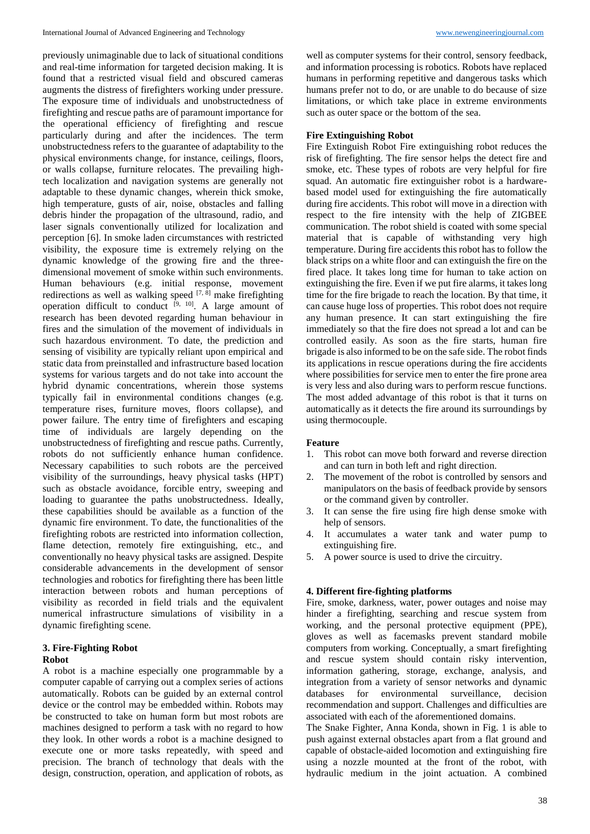previously unimaginable due to lack of situational conditions and real-time information for targeted decision making. It is found that a restricted visual field and obscured cameras augments the distress of firefighters working under pressure. The exposure time of individuals and unobstructedness of firefighting and rescue paths are of paramount importance for the operational efficiency of firefighting and rescue particularly during and after the incidences. The term unobstructedness refers to the guarantee of adaptability to the physical environments change, for instance, ceilings, floors, or walls collapse, furniture relocates. The prevailing hightech localization and navigation systems are generally not adaptable to these dynamic changes, wherein thick smoke, high temperature, gusts of air, noise, obstacles and falling debris hinder the propagation of the ultrasound, radio, and laser signals conventionally utilized for localization and perception [6]. In smoke laden circumstances with restricted visibility, the exposure time is extremely relying on the dynamic knowledge of the growing fire and the threedimensional movement of smoke within such environments. Human behaviours (e.g. initial response, movement redirections as well as walking speed  $[7, 8]$  make firefighting operation difficult to conduct  $[9, 10]$ . A large amount of research has been devoted regarding human behaviour in fires and the simulation of the movement of individuals in such hazardous environment. To date, the prediction and sensing of visibility are typically reliant upon empirical and static data from preinstalled and infrastructure based location systems for various targets and do not take into account the hybrid dynamic concentrations, wherein those systems typically fail in environmental conditions changes (e.g. temperature rises, furniture moves, floors collapse), and power failure. The entry time of firefighters and escaping time of individuals are largely depending on the unobstructedness of firefighting and rescue paths. Currently, robots do not sufficiently enhance human confidence. Necessary capabilities to such robots are the perceived visibility of the surroundings, heavy physical tasks (HPT) such as obstacle avoidance, forcible entry, sweeping and loading to guarantee the paths unobstructedness. Ideally, these capabilities should be available as a function of the dynamic fire environment. To date, the functionalities of the firefighting robots are restricted into information collection, flame detection, remotely fire extinguishing, etc., and conventionally no heavy physical tasks are assigned. Despite considerable advancements in the development of sensor technologies and robotics for firefighting there has been little interaction between robots and human perceptions of visibility as recorded in field trials and the equivalent numerical infrastructure simulations of visibility in a dynamic firefighting scene.

# **3. Fire-Fighting Robot**

## **Robot**

A robot is a machine especially one programmable by a computer capable of carrying out a complex series of actions automatically. Robots can be guided by an external control device or the control may be embedded within. Robots may be constructed to take on human form but most robots are machines designed to perform a task with no regard to how they look. In other words a robot is a machine designed to execute one or more tasks repeatedly, with speed and precision. The branch of technology that deals with the design, construction, operation, and application of robots, as

well as computer systems for their control, sensory feedback, and information processing is robotics. Robots have replaced humans in performing repetitive and dangerous tasks which humans prefer not to do, or are unable to do because of size limitations, or which take place in extreme environments such as outer space or the bottom of the sea.

## **Fire Extinguishing Robot**

Fire Extinguish Robot Fire extinguishing robot reduces the risk of firefighting. The fire sensor helps the detect fire and smoke, etc. These types of robots are very helpful for fire squad. An automatic fire extinguisher robot is a hardwarebased model used for extinguishing the fire automatically during fire accidents. This robot will move in a direction with respect to the fire intensity with the help of ZIGBEE communication. The robot shield is coated with some special material that is capable of withstanding very high temperature. During fire accidents this robot has to follow the black strips on a white floor and can extinguish the fire on the fired place. It takes long time for human to take action on extinguishing the fire. Even if we put fire alarms, it takes long time for the fire brigade to reach the location. By that time, it can cause huge loss of properties. This robot does not require any human presence. It can start extinguishing the fire immediately so that the fire does not spread a lot and can be controlled easily. As soon as the fire starts, human fire brigade is also informed to be on the safe side. The robot finds its applications in rescue operations during the fire accidents where possibilities for service men to enter the fire prone area is very less and also during wars to perform rescue functions. The most added advantage of this robot is that it turns on automatically as it detects the fire around its surroundings by using thermocouple.

## **Feature**

- 1. This robot can move both forward and reverse direction and can turn in both left and right direction.
- 2. The movement of the robot is controlled by sensors and manipulators on the basis of feedback provide by sensors or the command given by controller.
- 3. It can sense the fire using fire high dense smoke with help of sensors.
- 4. It accumulates a water tank and water pump to extinguishing fire.
- 5. A power source is used to drive the circuitry.

## **4. Different fire-fighting platforms**

Fire, smoke, darkness, water, power outages and noise may hinder a firefighting, searching and rescue system from working, and the personal protective equipment (PPE), gloves as well as facemasks prevent standard mobile computers from working. Conceptually, a smart firefighting and rescue system should contain risky intervention, information gathering, storage, exchange, analysis, and integration from a variety of sensor networks and dynamic databases for environmental surveillance, decision recommendation and support. Challenges and difficulties are associated with each of the aforementioned domains.

The Snake Fighter, Anna Konda, shown in Fig. 1 is able to push against external obstacles apart from a flat ground and capable of obstacle-aided locomotion and extinguishing fire using a nozzle mounted at the front of the robot, with hydraulic medium in the joint actuation. A combined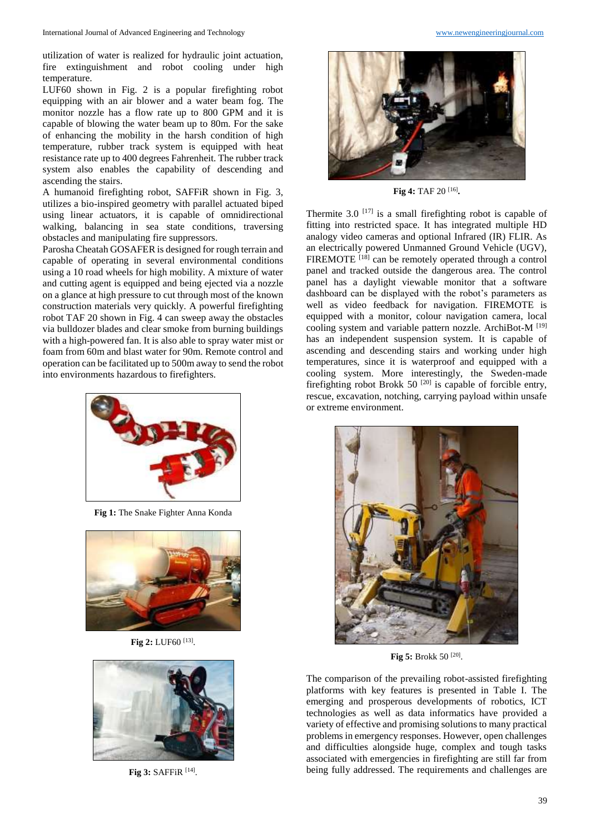utilization of water is realized for hydraulic joint actuation, fire extinguishment and robot cooling under high temperature.

LUF60 shown in Fig. 2 is a popular firefighting robot equipping with an air blower and a water beam fog. The monitor nozzle has a flow rate up to 800 GPM and it is capable of blowing the water beam up to 80m. For the sake of enhancing the mobility in the harsh condition of high temperature, rubber track system is equipped with heat resistance rate up to 400 degrees Fahrenheit. The rubber track system also enables the capability of descending and ascending the stairs.

A humanoid firefighting robot, SAFFiR shown in Fig. 3, utilizes a bio-inspired geometry with parallel actuated biped using linear actuators, it is capable of omnidirectional walking, balancing in sea state conditions, traversing obstacles and manipulating fire suppressors.

Parosha Cheatah GOSAFER is designed for rough terrain and capable of operating in several environmental conditions using a 10 road wheels for high mobility. A mixture of water and cutting agent is equipped and being ejected via a nozzle on a glance at high pressure to cut through most of the known construction materials very quickly. A powerful firefighting robot TAF 20 shown in Fig. 4 can sweep away the obstacles via bulldozer blades and clear smoke from burning buildings with a high-powered fan. It is also able to spray water mist or foam from 60m and blast water for 90m. Remote control and operation can be facilitated up to 500m away to send the robot into environments hazardous to firefighters.



**Fig 1:** The Snake Fighter Anna Konda



**Fig 2:** LUF60 [13] .



Fig 3: SAFFiR<sup>[14]</sup>.



**Fig 4:** TAF 20 [16] **.**

Thermite 3.0  $[17]$  is a small firefighting robot is capable of fitting into restricted space. It has integrated multiple HD analogy video cameras and optional Infrared (IR) FLIR. As an electrically powered Unmanned Ground Vehicle (UGV), FIREMOTE<sup>[18]</sup> can be remotely operated through a control panel and tracked outside the dangerous area. The control panel has a daylight viewable monitor that a software dashboard can be displayed with the robot's parameters as well as video feedback for navigation. FIREMOTE is equipped with a monitor, colour navigation camera, local cooling system and variable pattern nozzle. ArchiBot-M [19] has an independent suspension system. It is capable of ascending and descending stairs and working under high temperatures, since it is waterproof and equipped with a cooling system. More interestingly, the Sweden-made firefighting robot Brokk 50  $^{[20]}$  is capable of forcible entry, rescue, excavation, notching, carrying payload within unsafe or extreme environment.



**Fig 5:** Brokk 50<sup>[20]</sup>.

The comparison of the prevailing robot-assisted firefighting platforms with key features is presented in Table I. The emerging and prosperous developments of robotics, ICT technologies as well as data informatics have provided a variety of effective and promising solutions to many practical problems in emergency responses. However, open challenges and difficulties alongside huge, complex and tough tasks associated with emergencies in firefighting are still far from being fully addressed. The requirements and challenges are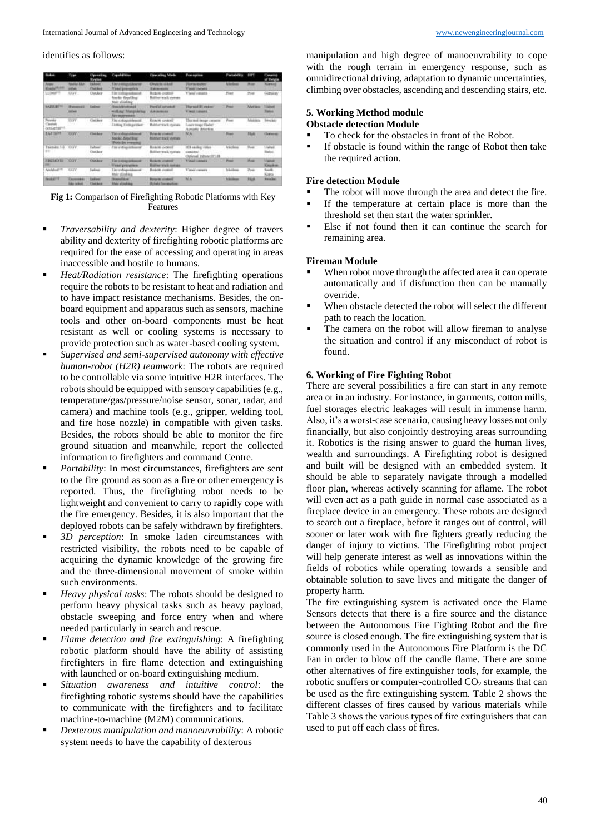#### identifies as follows:

| <b>Rodrod</b>                            | <b>Form</b>                                    | <b>Texas River</b><br><b>Hegins</b>   | <b><i>Institute</i></b>                                                    | <b>Clevening Made</b>                                         | Portugalism                                                    | <b>Participites</b>                  | <b>SBPT</b>  | Casartes<br>of Unigle              |
|------------------------------------------|------------------------------------------------|---------------------------------------|----------------------------------------------------------------------------|---------------------------------------------------------------|----------------------------------------------------------------|--------------------------------------|--------------|------------------------------------|
| ,,,,,<br><b>Cally Link</b>               | <b>Render Albert</b><br>abaa                   | <b>Fallow</b><br><b>Charles</b>       | <b>Fluid Annual Glosson</b><br>Visual preventos                            | <b>Chicago staked</b><br><b><i>Alakommodia</i></b>            | <b>They available to</b><br><b>Visual University</b>           | <b>Allegea</b>                       | <b>Blue</b>  | <b>Number</b>                      |
| 1,1308-1                                 | UDIV.                                          | Outdoor                               | The computations of<br>forche dientifing:<br><b>Main chiefino</b>          | Repok comili<br><b>Ruther track cycles</b>                    | Visual conges.                                                 | Foat                                 | Post         | German                             |
| <b>SARIERITI</b>                         | <b>Hyperator</b><br>tetus                      | <b>Earlier</b>                        | <b>Float Marchand</b><br>wich met Allunandering<br><b>Fire maximum</b>     | <b>Fordal actuald</b><br><b>Astronomia</b>                    | <b>Thorniel III and per-</b><br>Visual conune.                 | 1 Presid                             | Meliau       | <b>Stated</b><br><b>Transition</b> |
| Fennis -<br>Clastials<br><b>GOLAZIEM</b> | Upper.                                         | Clerkent                              | Fire extegraldenest:<br>Clifting Exhippetdent                              | Roson overell<br>Mobiled fronts eyeleen                       | Hernel inspressors<br>Lesiviseer Belef<br>Accounty sheering.   | <b>Program</b>                       | Minibhiro    | <b>Seoan</b>                       |
| <b>TAF SIM</b>                           | caw.<br>-                                      | Chelser                               | <b>Ties salesmakered</b><br>Stocky Aktyritus:<br><b>Thotacles</b> erroring | <b>Buse-let controll</b><br><b>BLAINE RIGHT AVENUE</b>        | N.K.                                                           | <b>Blanch</b>                        | <b>Hak</b>   | Germany                            |
| Themato, 5.0 . COV.<br><b>SYS</b>        |                                                | wheel<br><b>Clun Boor</b>             | Tax extractalization                                                       | <b>Based contain</b><br><b>Building truck system</b>          | <b>III</b> saske riths<br>CASH/ES/<br>Carional Infranci IT.III | kiscles                              |              | <b>Using</b><br><b>Tad on</b>      |
| <b>FREMOTE COV</b><br>29                 |                                                | Conker                                | <b>Farrisonant</b><br>VAMEDYTIVERS                                         | <b>Business control</b><br><b>RUSSIAN MINDE HARBER</b>        | Visit comes 1997                                               | Posts.                               | Month        | <b>Vance</b><br>Kaukon             |
| Andalus 1                                | <b>GDV</b>                                     | <b>Lakes</b>                          | First tradicated downtown<br>Situat adicultion                             | <b>Board Moand</b>                                            | Virtual conserva-                                              | <b><i><u><u>Alambage</u></u></i></b> | Presto       | South<br>Korea                     |
| <b>Fascing PT</b>                        | <b>Family</b><br><b><i><u>Ida what</u></i></b> | <b>Mary 200</b><br><b>Class Autor</b> | <b>Hoppelling</b><br><b>Main chiefma</b>                                   | <b>Report Follows</b><br><b><i><u>Stated American</u></i></b> | <b>N.N.</b>                                                    | <b>Triple</b>                        | <b>Flick</b> | <b>Render:</b>                     |

**Fig 1:** Comparison of Firefighting Robotic Platforms with Key Features

- *Traversability and dexterity*: Higher degree of travers ability and dexterity of firefighting robotic platforms are required for the ease of accessing and operating in areas inaccessible and hostile to humans.
- *Heat/Radiation resistance*: The firefighting operations require the robots to be resistant to heat and radiation and to have impact resistance mechanisms. Besides, the onboard equipment and apparatus such as sensors, machine tools and other on-board components must be heat resistant as well or cooling systems is necessary to provide protection such as water-based cooling system.
- *Supervised and semi-supervised autonomy with effective human-robot (H2R) teamwork*: The robots are required to be controllable via some intuitive H2R interfaces. The robots should be equipped with sensory capabilities (e.g., temperature/gas/pressure/noise sensor, sonar, radar, and camera) and machine tools (e.g., gripper, welding tool, and fire hose nozzle) in compatible with given tasks. Besides, the robots should be able to monitor the fire ground situation and meanwhile, report the collected information to firefighters and command Centre.
- **Portability:** In most circumstances, firefighters are sent to the fire ground as soon as a fire or other emergency is reported. Thus, the firefighting robot needs to be lightweight and convenient to carry to rapidly cope with the fire emergency. Besides, it is also important that the deployed robots can be safely withdrawn by firefighters.
- **3D** perception: In smoke laden circumstances with restricted visibility, the robots need to be capable of acquiring the dynamic knowledge of the growing fire and the three-dimensional movement of smoke within such environments.
- *Heavy physical tasks*: The robots should be designed to perform heavy physical tasks such as heavy payload, obstacle sweeping and force entry when and where needed particularly in search and rescue.
- *Flame detection and fire extinguishing*: A firefighting robotic platform should have the ability of assisting firefighters in fire flame detection and extinguishing with launched or on-board extinguishing medium.
- *Situation awareness and intuitive control*: the firefighting robotic systems should have the capabilities to communicate with the firefighters and to facilitate machine-to-machine (M2M) communications.
- *Dexterous manipulation and manoeuvrability*: A robotic system needs to have the capability of dexterous

manipulation and high degree of manoeuvrability to cope with the rough terrain in emergency response, such as omnidirectional driving, adaptation to dynamic uncertainties, climbing over obstacles, ascending and descending stairs, etc.

## **5. Working Method module Obstacle detection Module**

- To check for the obstacles in front of the Robot.
- If obstacle is found within the range of Robot then take the required action.

## **Fire detection Module**

- The robot will move through the area and detect the fire.
- If the temperature at certain place is more than the threshold set then start the water sprinkler.
- Else if not found then it can continue the search for remaining area.

## **Fireman Module**

- When robot move through the affected area it can operate automatically and if disfunction then can be manually override.
- When obstacle detected the robot will select the different path to reach the location.
- The camera on the robot will allow fireman to analyse the situation and control if any misconduct of robot is found.

## **6. Working of Fire Fighting Robot**

There are several possibilities a fire can start in any remote area or in an industry. For instance, in garments, cotton mills, fuel storages electric leakages will result in immense harm. Also, it's a worst-case scenario, causing heavy losses not only financially, but also conjointly destroying areas surrounding it. Robotics is the rising answer to guard the human lives, wealth and surroundings. A Firefighting robot is designed and built will be designed with an embedded system. It should be able to separately navigate through a modelled floor plan, whereas actively scanning for aflame. The robot will even act as a path guide in normal case associated as a fireplace device in an emergency. These robots are designed to search out a fireplace, before it ranges out of control, will sooner or later work with fire fighters greatly reducing the danger of injury to victims. The Firefighting robot project will help generate interest as well as innovations within the fields of robotics while operating towards a sensible and obtainable solution to save lives and mitigate the danger of property harm.

The fire extinguishing system is activated once the Flame Sensors detects that there is a fire source and the distance between the Autonomous Fire Fighting Robot and the fire source is closed enough. The fire extinguishing system that is commonly used in the Autonomous Fire Platform is the DC Fan in order to blow off the candle flame. There are some other alternatives of fire extinguisher tools, for example, the robotic snuffers or computer-controlled CO<sub>2</sub> streams that can be used as the fire extinguishing system. Table 2 shows the different classes of fires caused by various materials while Table 3 shows the various types of fire extinguishers that can used to put off each class of fires.